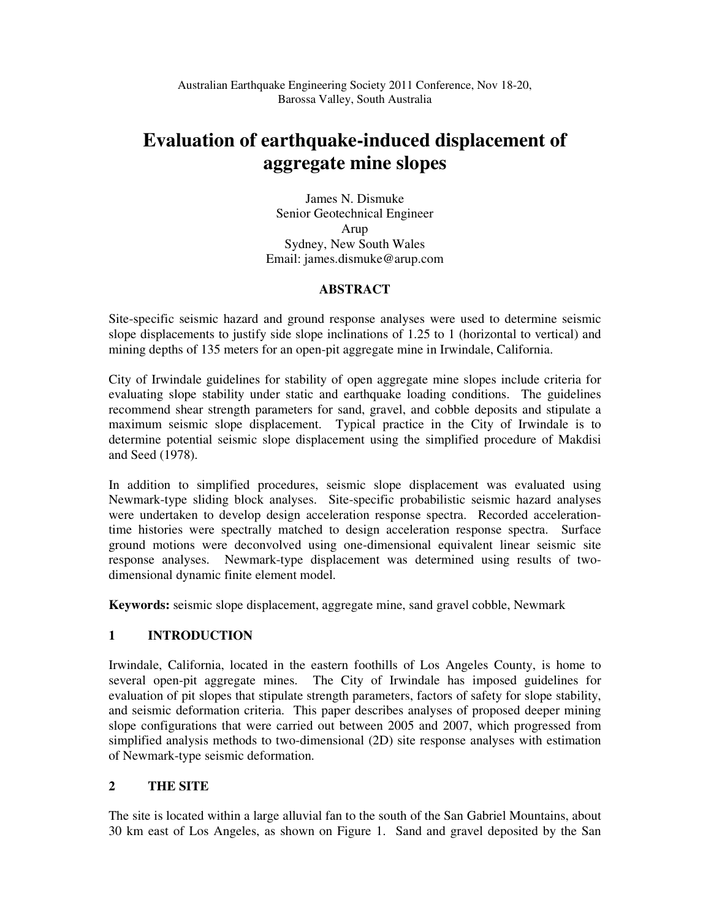# **Evaluation of earthquake-induced displacement of aggregate mine slopes**

James N. Dismuke Senior Geotechnical Engineer Arup Sydney, New South Wales Email: james.dismuke@arup.com

# **ABSTRACT**

Site-specific seismic hazard and ground response analyses were used to determine seismic slope displacements to justify side slope inclinations of 1.25 to 1 (horizontal to vertical) and mining depths of 135 meters for an open-pit aggregate mine in Irwindale, California.

City of Irwindale guidelines for stability of open aggregate mine slopes include criteria for evaluating slope stability under static and earthquake loading conditions. The guidelines recommend shear strength parameters for sand, gravel, and cobble deposits and stipulate a maximum seismic slope displacement. Typical practice in the City of Irwindale is to determine potential seismic slope displacement using the simplified procedure of Makdisi and Seed (1978).

In addition to simplified procedures, seismic slope displacement was evaluated using Newmark-type sliding block analyses. Site-specific probabilistic seismic hazard analyses were undertaken to develop design acceleration response spectra. Recorded accelerationtime histories were spectrally matched to design acceleration response spectra. Surface ground motions were deconvolved using one-dimensional equivalent linear seismic site response analyses. Newmark-type displacement was determined using results of twodimensional dynamic finite element model.

**Keywords:** seismic slope displacement, aggregate mine, sand gravel cobble, Newmark

# **1 INTRODUCTION**

Irwindale, California, located in the eastern foothills of Los Angeles County, is home to several open-pit aggregate mines. The City of Irwindale has imposed guidelines for evaluation of pit slopes that stipulate strength parameters, factors of safety for slope stability, and seismic deformation criteria. This paper describes analyses of proposed deeper mining slope configurations that were carried out between 2005 and 2007, which progressed from simplified analysis methods to two-dimensional (2D) site response analyses with estimation of Newmark-type seismic deformation.

# **2 THE SITE**

The site is located within a large alluvial fan to the south of the San Gabriel Mountains, about 30 km east of Los Angeles, as shown on Figure 1. Sand and gravel deposited by the San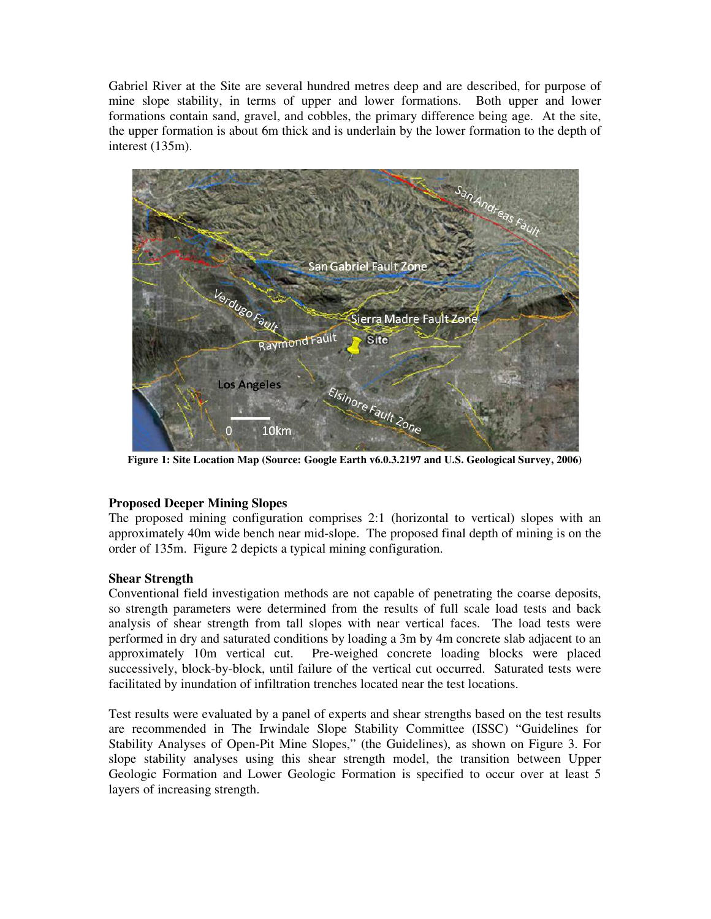Gabriel River at the Site are several hundred metres deep and are described, for purpose of mine slope stability, in terms of upper and lower formations. Both upper and lower formations contain sand, gravel, and cobbles, the primary difference being age. At the site, the upper formation is about 6m thick and is underlain by the lower formation to the depth of interest (135m).



**Figure 1: Site Location Map (Source: Google Earth v6.0.3.2197 and U.S. Geological Survey, 2006)** 

# **Proposed Deeper Mining Slopes**

The proposed mining configuration comprises 2:1 (horizontal to vertical) slopes with an approximately 40m wide bench near mid-slope. The proposed final depth of mining is on the order of 135m. Figure 2 depicts a typical mining configuration.

# **Shear Strength**

Conventional field investigation methods are not capable of penetrating the coarse deposits, so strength parameters were determined from the results of full scale load tests and back analysis of shear strength from tall slopes with near vertical faces. The load tests were performed in dry and saturated conditions by loading a 3m by 4m concrete slab adjacent to an approximately 10m vertical cut. Pre-weighed concrete loading blocks were placed successively, block-by-block, until failure of the vertical cut occurred. Saturated tests were facilitated by inundation of infiltration trenches located near the test locations.

Test results were evaluated by a panel of experts and shear strengths based on the test results are recommended in The Irwindale Slope Stability Committee (ISSC) "Guidelines for Stability Analyses of Open-Pit Mine Slopes," (the Guidelines), as shown on Figure 3. For slope stability analyses using this shear strength model, the transition between Upper Geologic Formation and Lower Geologic Formation is specified to occur over at least 5 layers of increasing strength.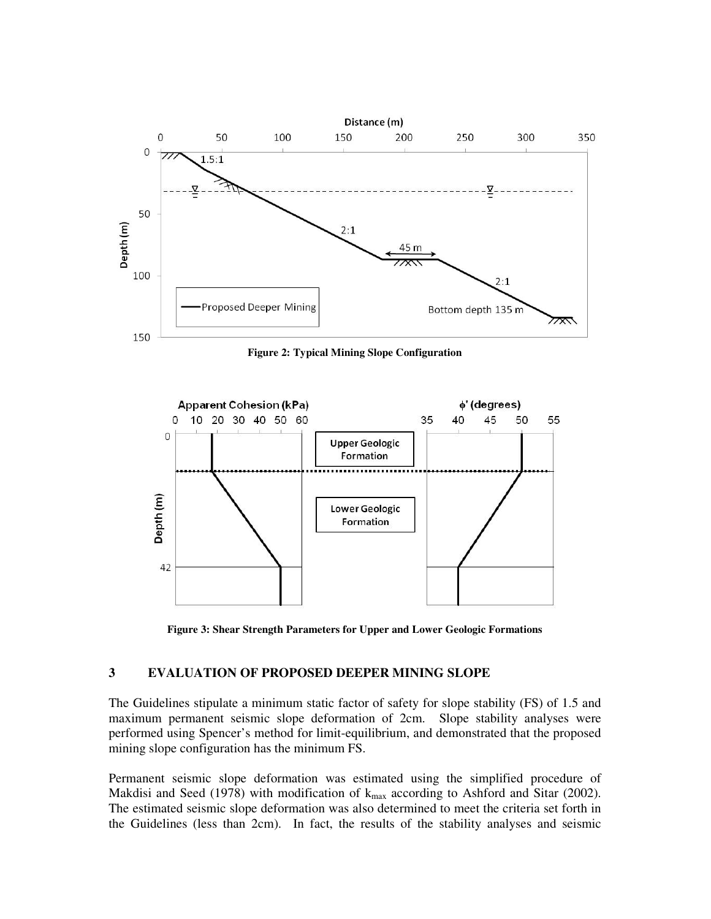

**Figure 2: Typical Mining Slope Configuration** 



**Figure 3: Shear Strength Parameters for Upper and Lower Geologic Formations** 

### **3 EVALUATION OF PROPOSED DEEPER MINING SLOPE**

The Guidelines stipulate a minimum static factor of safety for slope stability (FS) of 1.5 and maximum permanent seismic slope deformation of 2cm. Slope stability analyses were performed using Spencer's method for limit-equilibrium, and demonstrated that the proposed mining slope configuration has the minimum FS.

Permanent seismic slope deformation was estimated using the simplified procedure of Makdisi and Seed (1978) with modification of  $k_{max}$  according to Ashford and Sitar (2002). The estimated seismic slope deformation was also determined to meet the criteria set forth in the Guidelines (less than 2cm). In fact, the results of the stability analyses and seismic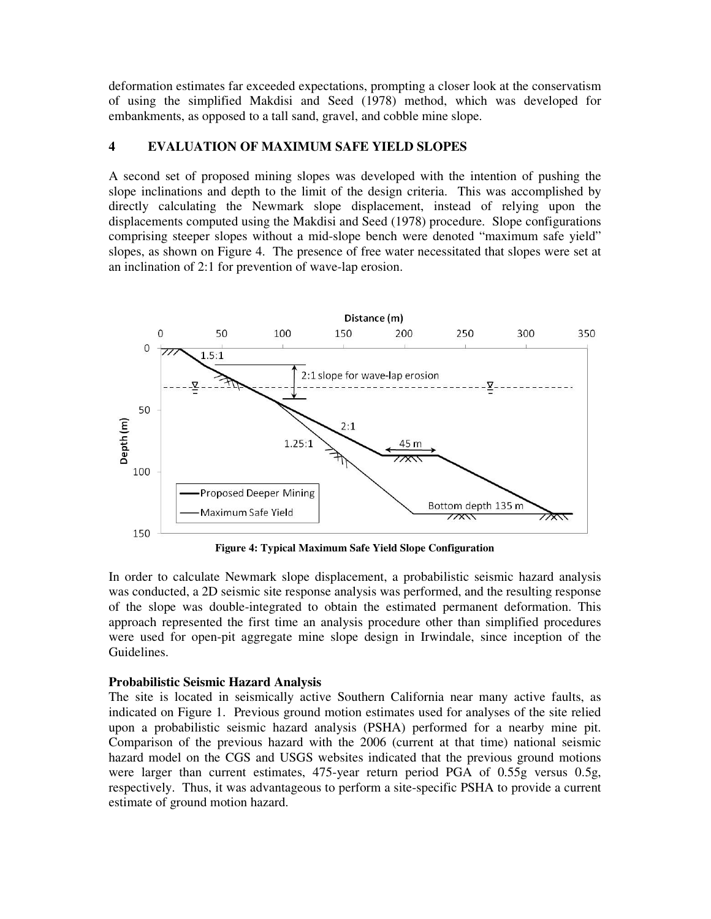deformation estimates far exceeded expectations, prompting a closer look at the conservatism of using the simplified Makdisi and Seed (1978) method, which was developed for embankments, as opposed to a tall sand, gravel, and cobble mine slope.

# **4 EVALUATION OF MAXIMUM SAFE YIELD SLOPES**

A second set of proposed mining slopes was developed with the intention of pushing the slope inclinations and depth to the limit of the design criteria. This was accomplished by directly calculating the Newmark slope displacement, instead of relying upon the displacements computed using the Makdisi and Seed (1978) procedure. Slope configurations comprising steeper slopes without a mid-slope bench were denoted "maximum safe yield" slopes, as shown on Figure 4. The presence of free water necessitated that slopes were set at an inclination of 2:1 for prevention of wave-lap erosion.



**Figure 4: Typical Maximum Safe Yield Slope Configuration** 

In order to calculate Newmark slope displacement, a probabilistic seismic hazard analysis was conducted, a 2D seismic site response analysis was performed, and the resulting response of the slope was double-integrated to obtain the estimated permanent deformation. This approach represented the first time an analysis procedure other than simplified procedures were used for open-pit aggregate mine slope design in Irwindale, since inception of the Guidelines.

### **Probabilistic Seismic Hazard Analysis**

The site is located in seismically active Southern California near many active faults, as indicated on Figure 1. Previous ground motion estimates used for analyses of the site relied upon a probabilistic seismic hazard analysis (PSHA) performed for a nearby mine pit. Comparison of the previous hazard with the 2006 (current at that time) national seismic hazard model on the CGS and USGS websites indicated that the previous ground motions were larger than current estimates, 475-year return period PGA of 0.55g versus 0.5g, respectively. Thus, it was advantageous to perform a site-specific PSHA to provide a current estimate of ground motion hazard.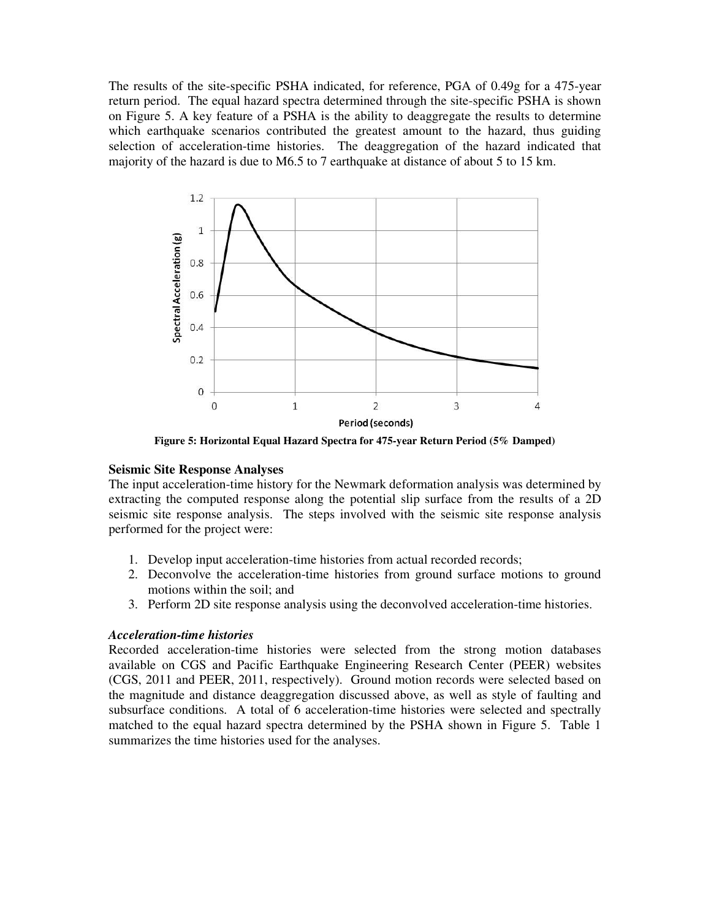The results of the site-specific PSHA indicated, for reference, PGA of 0.49g for a 475-year return period. The equal hazard spectra determined through the site-specific PSHA is shown on Figure 5. A key feature of a PSHA is the ability to deaggregate the results to determine which earthquake scenarios contributed the greatest amount to the hazard, thus guiding selection of acceleration-time histories. The deaggregation of the hazard indicated that majority of the hazard is due to M6.5 to 7 earthquake at distance of about 5 to 15 km.



**Figure 5: Horizontal Equal Hazard Spectra for 475-year Return Period (5% Damped)** 

#### **Seismic Site Response Analyses**

The input acceleration-time history for the Newmark deformation analysis was determined by extracting the computed response along the potential slip surface from the results of a 2D seismic site response analysis. The steps involved with the seismic site response analysis performed for the project were:

- 1. Develop input acceleration-time histories from actual recorded records;
- 2. Deconvolve the acceleration-time histories from ground surface motions to ground motions within the soil; and
- 3. Perform 2D site response analysis using the deconvolved acceleration-time histories.

#### *Acceleration-time histories*

Recorded acceleration-time histories were selected from the strong motion databases available on CGS and Pacific Earthquake Engineering Research Center (PEER) websites (CGS, 2011 and PEER, 2011, respectively). Ground motion records were selected based on the magnitude and distance deaggregation discussed above, as well as style of faulting and subsurface conditions. A total of 6 acceleration-time histories were selected and spectrally matched to the equal hazard spectra determined by the PSHA shown in Figure 5. Table 1 summarizes the time histories used for the analyses.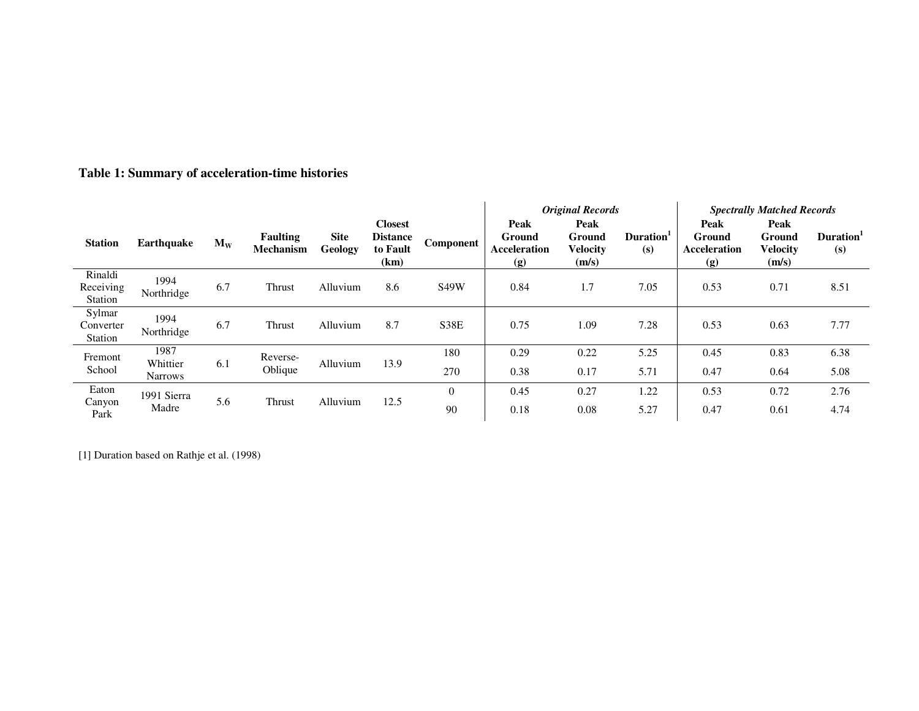|                                 |                                    |       |                                     |                        |                                                       |             |                                       | <b>Original Records</b>                           |                              | <b>Spectrally Matched Records</b>            |                                            |                              |
|---------------------------------|------------------------------------|-------|-------------------------------------|------------------------|-------------------------------------------------------|-------------|---------------------------------------|---------------------------------------------------|------------------------------|----------------------------------------------|--------------------------------------------|------------------------------|
| <b>Station</b>                  | <b>Earthquake</b>                  | $M_W$ | <b>Faulting</b><br><b>Mechanism</b> | <b>Site</b><br>Geology | <b>Closest</b><br><b>Distance</b><br>to Fault<br>(km) | Component   | Peak<br>Ground<br>Acceleration<br>(g) | Peak<br><b>Ground</b><br><b>Velocity</b><br>(m/s) | Duration <sup>1</sup><br>(s) | Peak<br>Ground<br><b>Acceleration</b><br>(g) | Peak<br>Ground<br><b>Velocity</b><br>(m/s) | Duration <sup>1</sup><br>(s) |
| Rinaldi<br>Receiving<br>Station | 1994<br>Northridge                 | 6.7   | Thrust                              | Alluvium               | 8.6                                                   | <b>S49W</b> | 0.84                                  | 1.7                                               | 7.05                         | 0.53                                         | 0.71                                       | 8.51                         |
| Sylmar<br>Converter<br>Station  | 1994<br>Northridge                 | 6.7   | Thrust                              | Alluvium               | 8.7                                                   | S38E        | 0.75                                  | 1.09                                              | 7.28                         | 0.53                                         | 0.63                                       | 7.77                         |
| Fremont<br>School               | 1987<br>Whittier<br><b>Narrows</b> | 6.1   | Reverse-<br>Oblique                 | Alluvium               | 13.9                                                  | 180         | 0.29                                  | 0.22                                              | 5.25                         | 0.45                                         | 0.83                                       | 6.38                         |
|                                 |                                    |       |                                     |                        |                                                       | 270         | 0.38                                  | 0.17                                              | 5.71                         | 0.47                                         | 0.64                                       | 5.08                         |
| Eaton<br>Canyon<br>Park         | 1991 Sierra<br>Madre               | 5.6   | Thrust                              | Alluvium               | 12.5                                                  | $\theta$    | 0.45                                  | 0.27                                              | 1.22                         | 0.53                                         | 0.72                                       | 2.76                         |
|                                 |                                    |       |                                     |                        |                                                       | 90          | 0.18                                  | 0.08                                              | 5.27                         | 0.47                                         | 0.61                                       | 4.74                         |

**Table 1: Summary of acceleration-time histories** 

[1] Duration based on Rathje et al. (1998)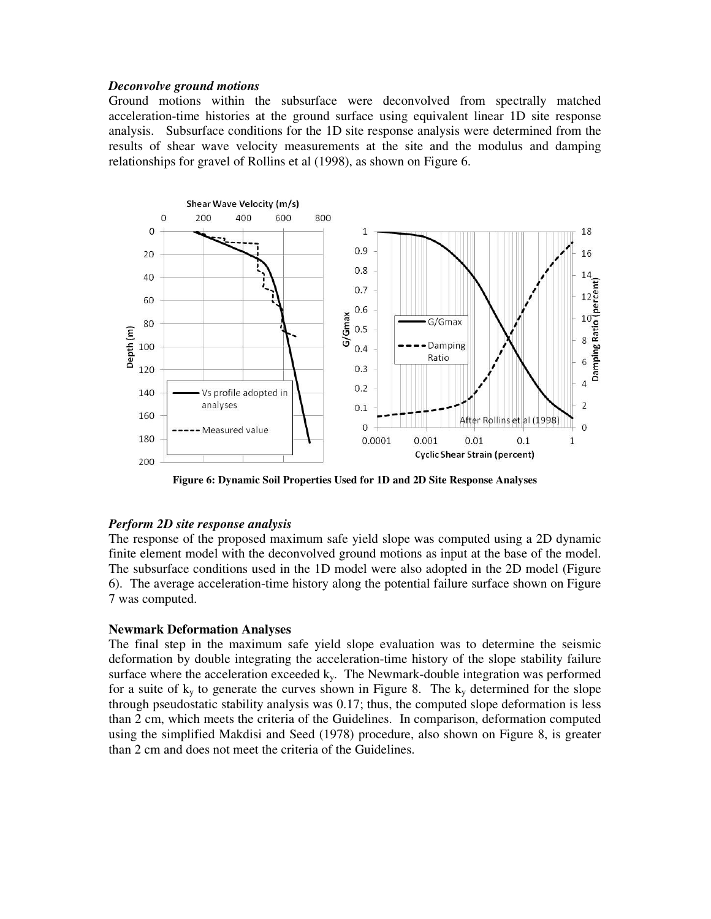#### *Deconvolve ground motions*

Ground motions within the subsurface were deconvolved from spectrally matched acceleration-time histories at the ground surface using equivalent linear 1D site response analysis. Subsurface conditions for the 1D site response analysis were determined from the results of shear wave velocity measurements at the site and the modulus and damping relationships for gravel of Rollins et al (1998), as shown on Figure 6.



**Figure 6: Dynamic Soil Properties Used for 1D and 2D Site Response Analyses** 

### *Perform 2D site response analysis*

The response of the proposed maximum safe yield slope was computed using a 2D dynamic finite element model with the deconvolved ground motions as input at the base of the model. The subsurface conditions used in the 1D model were also adopted in the 2D model (Figure 6). The average acceleration-time history along the potential failure surface shown on Figure 7 was computed.

### **Newmark Deformation Analyses**

The final step in the maximum safe yield slope evaluation was to determine the seismic deformation by double integrating the acceleration-time history of the slope stability failure surface where the acceleration exceeded  $k_y$ . The Newmark-double integration was performed for a suite of  $k_y$  to generate the curves shown in Figure 8. The  $k_y$  determined for the slope through pseudostatic stability analysis was 0.17; thus, the computed slope deformation is less than 2 cm, which meets the criteria of the Guidelines. In comparison, deformation computed using the simplified Makdisi and Seed (1978) procedure, also shown on Figure 8, is greater than 2 cm and does not meet the criteria of the Guidelines.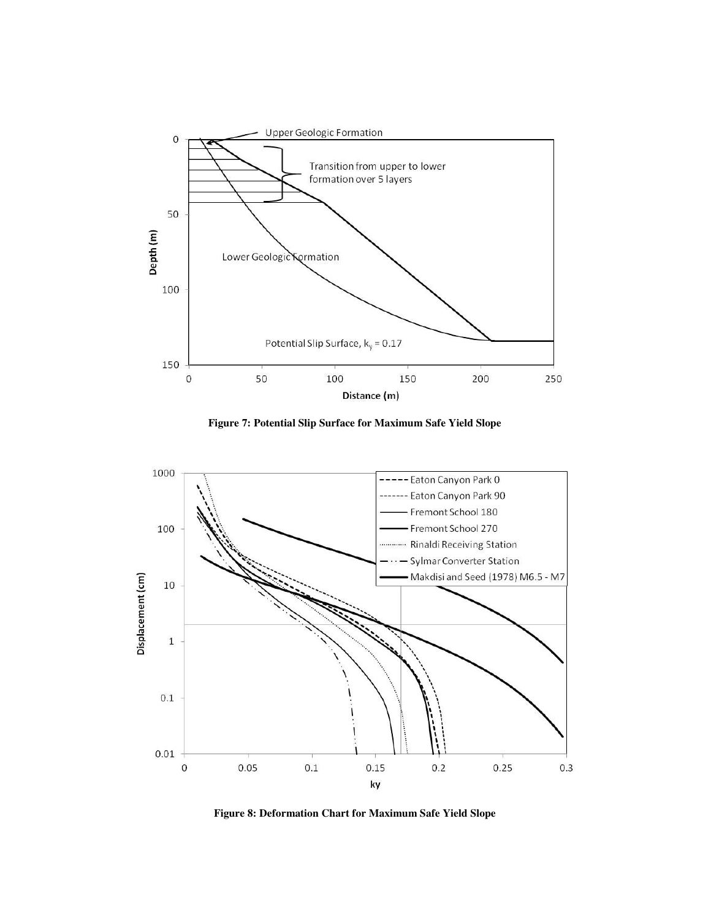

**Figure 7: Potential Slip Surface for Maximum Safe Yield Slope** 



**Figure 8: Deformation Chart for Maximum Safe Yield Slope**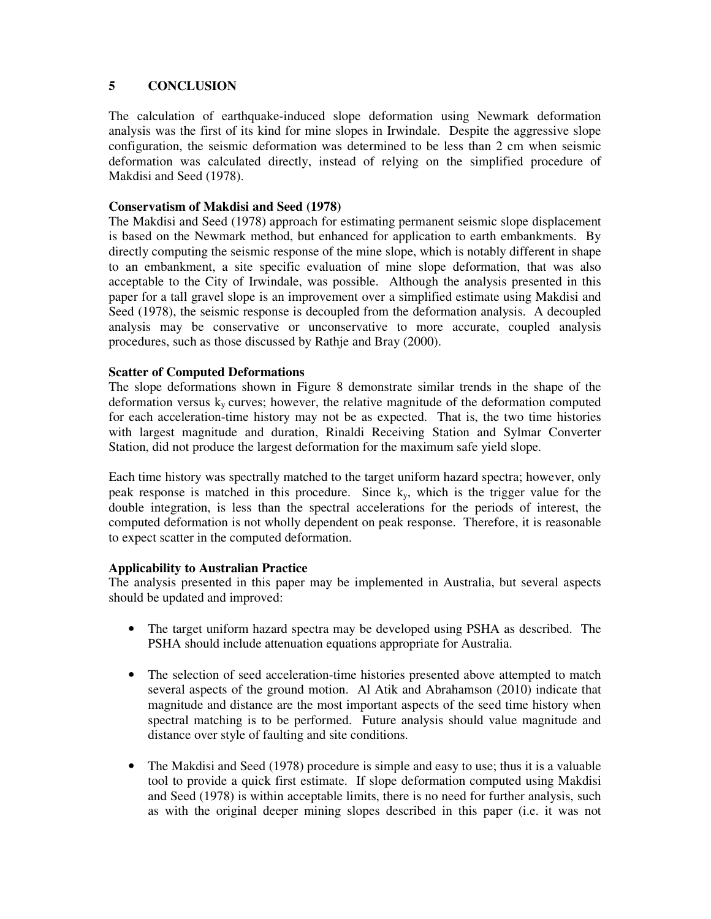# **5 CONCLUSION**

The calculation of earthquake-induced slope deformation using Newmark deformation analysis was the first of its kind for mine slopes in Irwindale. Despite the aggressive slope configuration, the seismic deformation was determined to be less than 2 cm when seismic deformation was calculated directly, instead of relying on the simplified procedure of Makdisi and Seed (1978).

## **Conservatism of Makdisi and Seed (1978)**

The Makdisi and Seed (1978) approach for estimating permanent seismic slope displacement is based on the Newmark method, but enhanced for application to earth embankments. By directly computing the seismic response of the mine slope, which is notably different in shape to an embankment, a site specific evaluation of mine slope deformation, that was also acceptable to the City of Irwindale, was possible. Although the analysis presented in this paper for a tall gravel slope is an improvement over a simplified estimate using Makdisi and Seed (1978), the seismic response is decoupled from the deformation analysis. A decoupled analysis may be conservative or unconservative to more accurate, coupled analysis procedures, such as those discussed by Rathje and Bray (2000).

### **Scatter of Computed Deformations**

The slope deformations shown in Figure 8 demonstrate similar trends in the shape of the deformation versus  $k_y$  curves; however, the relative magnitude of the deformation computed for each acceleration-time history may not be as expected. That is, the two time histories with largest magnitude and duration, Rinaldi Receiving Station and Sylmar Converter Station, did not produce the largest deformation for the maximum safe yield slope.

Each time history was spectrally matched to the target uniform hazard spectra; however, only peak response is matched in this procedure. Since  $k<sub>y</sub>$ , which is the trigger value for the double integration, is less than the spectral accelerations for the periods of interest, the computed deformation is not wholly dependent on peak response. Therefore, it is reasonable to expect scatter in the computed deformation.

### **Applicability to Australian Practice**

The analysis presented in this paper may be implemented in Australia, but several aspects should be updated and improved:

- The target uniform hazard spectra may be developed using PSHA as described. The PSHA should include attenuation equations appropriate for Australia.
- The selection of seed acceleration-time histories presented above attempted to match several aspects of the ground motion. Al Atik and Abrahamson (2010) indicate that magnitude and distance are the most important aspects of the seed time history when spectral matching is to be performed. Future analysis should value magnitude and distance over style of faulting and site conditions.
- The Makdisi and Seed (1978) procedure is simple and easy to use; thus it is a valuable tool to provide a quick first estimate. If slope deformation computed using Makdisi and Seed (1978) is within acceptable limits, there is no need for further analysis, such as with the original deeper mining slopes described in this paper (i.e. it was not